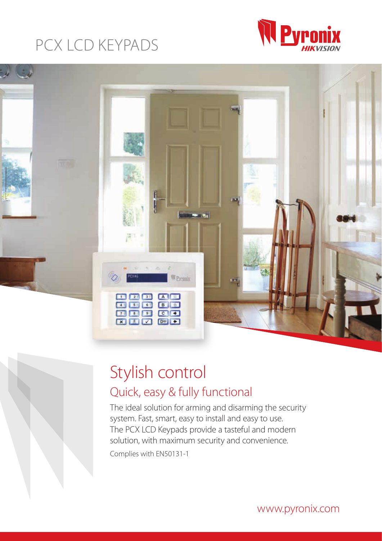# PCX LCD KEYPADS





## Stylish control Quick, easy & fully functional

The ideal solution for arming and disarming the security system. Fast, smart, easy to install and easy to use. The PCX LCD Keypads provide a tasteful and modern solution, with maximum security and convenience. Complies with EN50131-1

www.pyronix.com